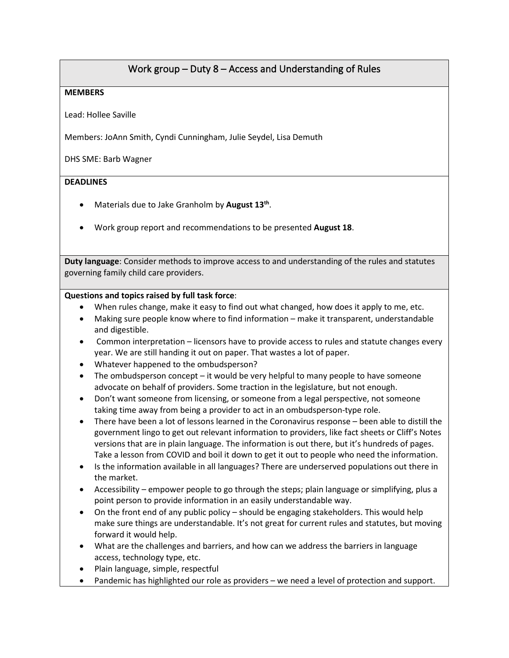## Work group – Duty 8 – Access and Understanding of Rules

## **MEMBERS**

Lead: Hollee Saville

Members: JoAnn Smith, Cyndi Cunningham, Julie Seydel, Lisa Demuth

DHS SME: Barb Wagner

## **DEADLINES**

- Materials due to Jake Granholm by **August 13th**.
- Work group report and recommendations to be presented **August 18**.

**Duty language**: Consider methods to improve access to and understanding of the rules and statutes governing family child care providers.

## **Questions and topics raised by full task force**:

- When rules change, make it easy to find out what changed, how does it apply to me, etc.
- Making sure people know where to find information make it transparent, understandable and digestible.
- Common interpretation licensors have to provide access to rules and statute changes every year. We are still handing it out on paper. That wastes a lot of paper.
- Whatever happened to the ombudsperson?
- The ombudsperson concept it would be very helpful to many people to have someone advocate on behalf of providers. Some traction in the legislature, but not enough.
- Don't want someone from licensing, or someone from a legal perspective, not someone taking time away from being a provider to act in an ombudsperson-type role.
- There have been a lot of lessons learned in the Coronavirus response been able to distill the government lingo to get out relevant information to providers, like fact sheets or Cliff's Notes versions that are in plain language. The information is out there, but it's hundreds of pages. Take a lesson from COVID and boil it down to get it out to people who need the information.
- Is the information available in all languages? There are underserved populations out there in the market.
- Accessibility empower people to go through the steps; plain language or simplifying, plus a point person to provide information in an easily understandable way.
- On the front end of any public policy should be engaging stakeholders. This would help make sure things are understandable. It's not great for current rules and statutes, but moving forward it would help.
- What are the challenges and barriers, and how can we address the barriers in language access, technology type, etc.
- Plain language, simple, respectful
- Pandemic has highlighted our role as providers we need a level of protection and support.